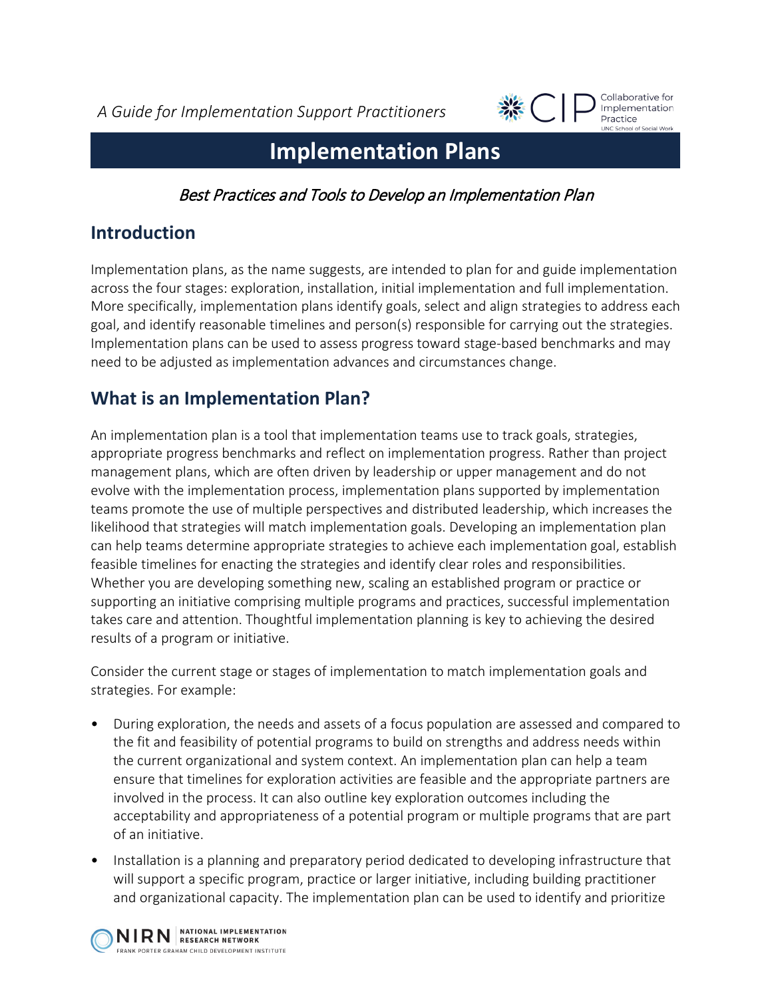*A Guide for Implementation Support Practitioners*



Collaborative for Implementation Practice **LINC School of Social Work** 

# **Implementation Plans**

Best Practices and Tools to Develop an Implementation Plan

### **Introduction**

Implementation plans, as the name suggests, are intended to plan for and guide implementation across the four stages: exploration, installation, initial implementation and full implementation. More specifically, implementation plans identify goals, select and align strategies to address each goal, and identify reasonable timelines and person(s) responsible for carrying out the strategies. Implementation plans can be used to assess progress toward stage-based benchmarks and may need to be adjusted as implementation advances and circumstances change.

## **What is an Implementation Plan?**

An implementation plan is a tool that implementation teams use to track goals, strategies, appropriate progress benchmarks and reflect on implementation progress. Rather than project management plans, which are often driven by leadership or upper management and do not evolve with the implementation process, implementation plans supported by implementation teams promote the use of multiple perspectives and distributed leadership, which increases the likelihood that strategies will match implementation goals. Developing an implementation plan can help teams determine appropriate strategies to achieve each implementation goal, establish feasible timelines for enacting the strategies and identify clear roles and responsibilities. Whether you are developing something new, scaling an established program or practice or supporting an initiative comprising multiple programs and practices, successful implementation takes care and attention. Thoughtful implementation planning is key to achieving the desired results of a program or initiative.

Consider the current stage or stages of implementation to match implementation goals and strategies. For example:

- During exploration, the needs and assets of a focus population are assessed and compared to the fit and feasibility of potential programs to build on strengths and address needs within the current organizational and system context. An implementation plan can help a team ensure that timelines for exploration activities are feasible and the appropriate partners are involved in the process. It can also outline key exploration outcomes including the acceptability and appropriateness of a potential program or multiple programs that are part of an initiative.
- Installation is a planning and preparatory period dedicated to developing infrastructure that will support a specific program, practice or larger initiative, including building practitioner and organizational capacity. The implementation plan can be used to identify and prioritize

NIRN RESEARCH NETWORK FRANK PORTER GRAHAM CHILD DEVELOPMENT INSTITUTE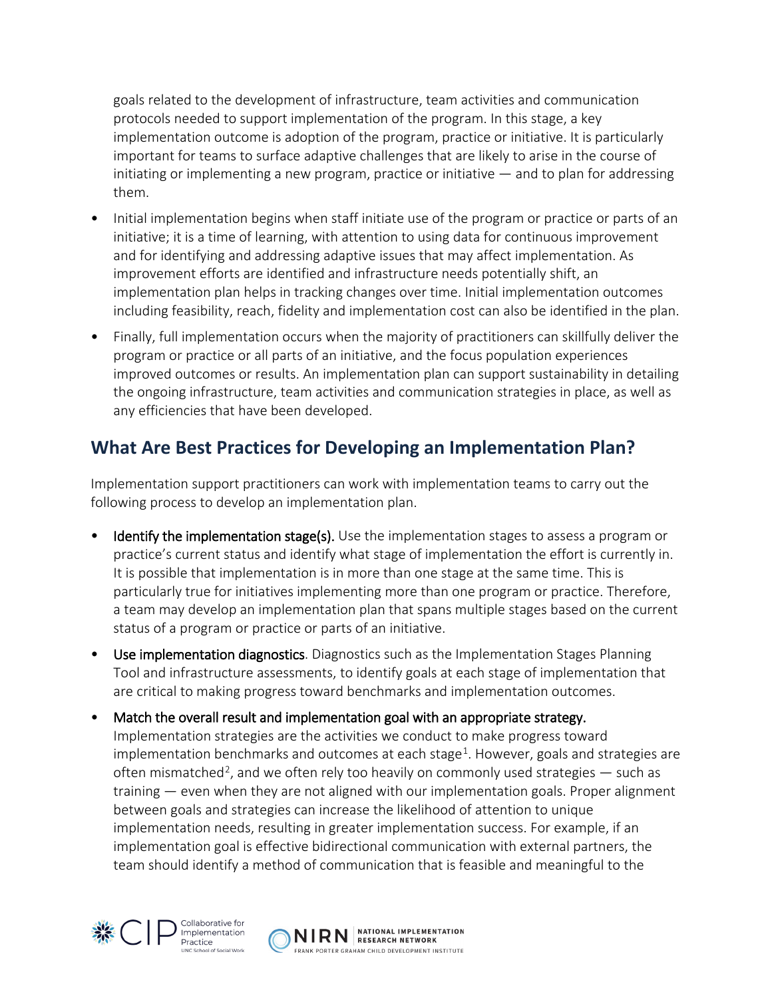goals related to the development of infrastructure, team activities and communication protocols needed to support implementation of the program. In this stage, a key implementation outcome is adoption of the program, practice or initiative. It is particularly important for teams to surface adaptive challenges that are likely to arise in the course of initiating or implementing a new program, practice or initiative  $-$  and to plan for addressing them.

- Initial implementation begins when staff initiate use of the program or practice or parts of an initiative; it is a time of learning, with attention to using data for continuous improvement and for identifying and addressing adaptive issues that may affect implementation. As improvement efforts are identified and infrastructure needs potentially shift, an implementation plan helps in tracking changes over time. Initial implementation outcomes including feasibility, reach, fidelity and implementation cost can also be identified in the plan.
- Finally, full implementation occurs when the majority of practitioners can skillfully deliver the program or practice or all parts of an initiative, and the focus population experiences improved outcomes or results. An implementation plan can support sustainability in detailing the ongoing infrastructure, team activities and communication strategies in place, as well as any efficiencies that have been developed.

#### **What Are Best Practices for Developing an Implementation Plan?**

Implementation support practitioners can work with implementation teams to carry out the following process to develop an implementation plan.

- **Identify the implementation stage(s).** Use the implementation stages to assess a program or practice's current status and identify what stage of implementation the effort is currently in. It is possible that implementation is in more than one stage at the same time. This is particularly true for initiatives implementing more than one program or practice. Therefore, a team may develop an implementation plan that spans multiple stages based on the current status of a program or practice or parts of an initiative.
- Use implementation diagnostics. Diagnostics such as the Implementation Stages Planning Tool and infrastructure assessments, to identify goals at each stage of implementation that are critical to making progress toward benchmarks and implementation outcomes.
- Match the overall result and implementation goal with an appropriate strategy. Implementation strategies are the activities we conduct to make progress toward implementation benchmarks and outcomes at each stage<sup>[1](#page-4-0)</sup>. However, goals and strategies are often mismatched<sup>[2](#page-4-1)</sup>, and we often rely too heavily on commonly used strategies — such as training — even when they are not aligned with our implementation goals. Proper alignment between goals and strategies can increase the likelihood of attention to unique implementation needs, resulting in greater implementation success. For example, if an implementation goal is effective bidirectional communication with external partners, the team should identify a method of communication that is feasible and meaningful to the



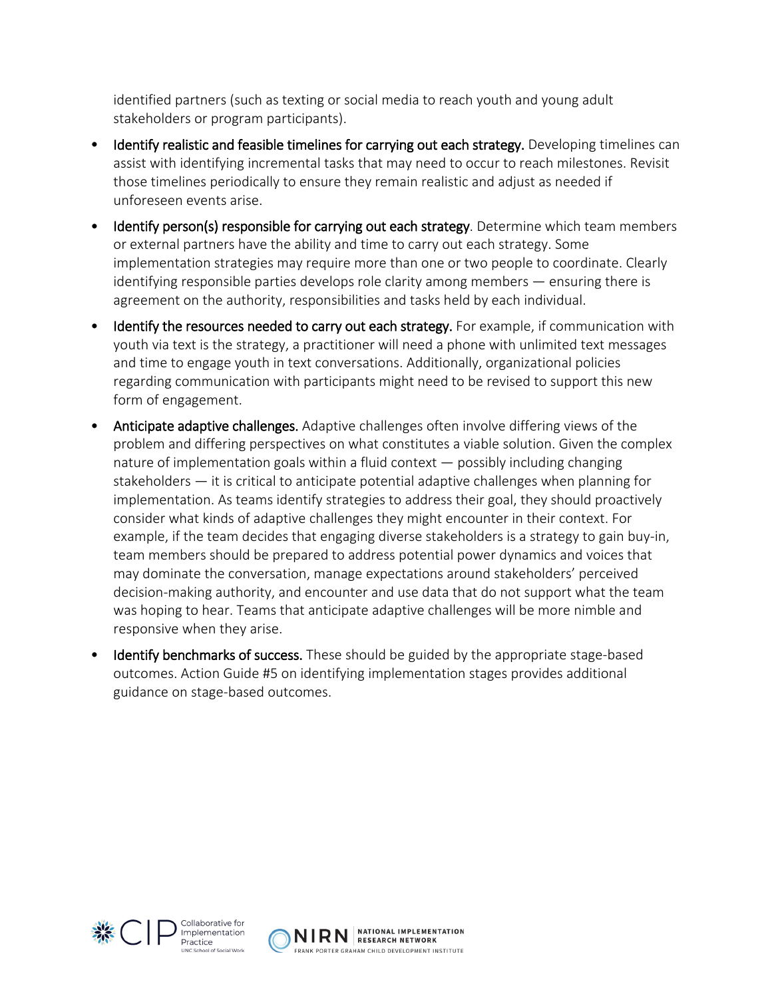identified partners (such as texting or social media to reach youth and young adult stakeholders or program participants).

- Identify realistic and feasible timelines for carrying out each strategy. Developing timelines can assist with identifying incremental tasks that may need to occur to reach milestones. Revisit those timelines periodically to ensure they remain realistic and adjust as needed if unforeseen events arise.
- Identify person(s) responsible for carrying out each strategy. Determine which team members or external partners have the ability and time to carry out each strategy. Some implementation strategies may require more than one or two people to coordinate. Clearly identifying responsible parties develops role clarity among members — ensuring there is agreement on the authority, responsibilities and tasks held by each individual.
- Identify the resources needed to carry out each strategy. For example, if communication with youth via text is the strategy, a practitioner will need a phone with unlimited text messages and time to engage youth in text conversations. Additionally, organizational policies regarding communication with participants might need to be revised to support this new form of engagement.
- Anticipate adaptive challenges. Adaptive challenges often involve differing views of the problem and differing perspectives on what constitutes a viable solution. Given the complex nature of implementation goals within a fluid context — possibly including changing stakeholders — it is critical to anticipate potential adaptive challenges when planning for implementation. As teams identify strategies to address their goal, they should proactively consider what kinds of adaptive challenges they might encounter in their context. For example, if the team decides that engaging diverse stakeholders is a strategy to gain buy-in, team members should be prepared to address potential power dynamics and voices that may dominate the conversation, manage expectations around stakeholders' perceived decision-making authority, and encounter and use data that do not support what the team was hoping to hear. Teams that anticipate adaptive challenges will be more nimble and responsive when they arise.
- **Identify benchmarks of success.** These should be guided by the appropriate stage-based outcomes. Action Guide #5 on identifying implementation stages provides additional guidance on stage-based outcomes.



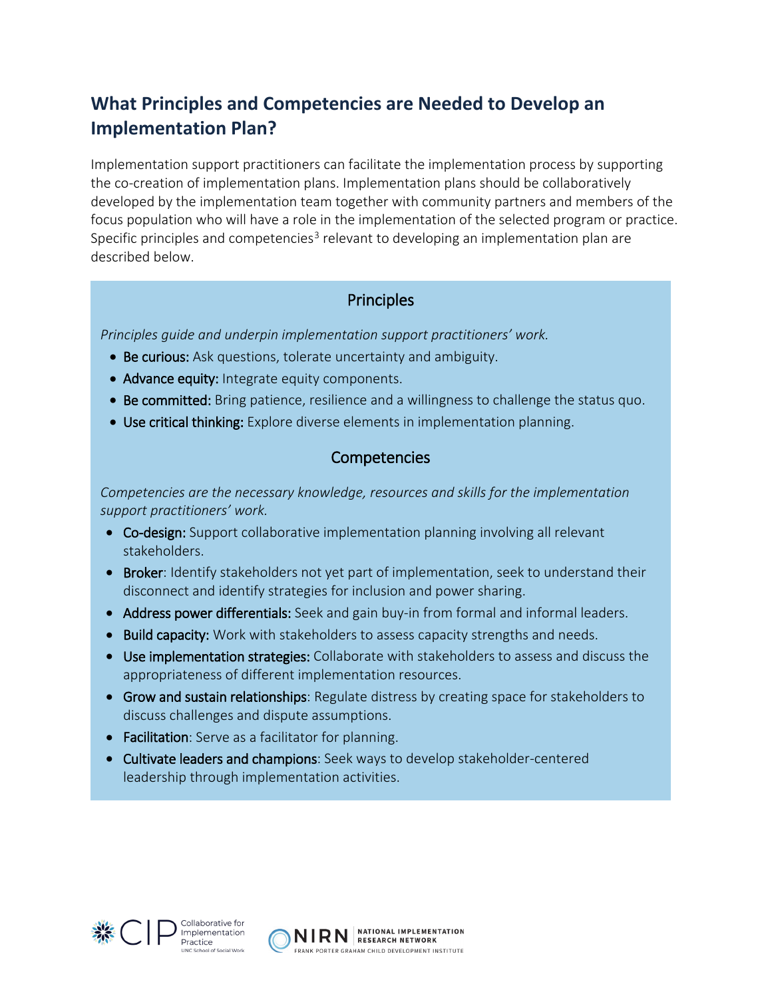### **What Principles and Competencies are Needed to Develop an Implementation Plan?**

Implementation support practitioners can facilitate the implementation process by supporting the co-creation of implementation plans. Implementation plans should be collaboratively developed by the implementation team together with community partners and members of the focus population who will have a role in the implementation of the selected program or practice. Specific principles and competencies<sup>[3](#page-4-2)</sup> relevant to developing an implementation plan are described below.

#### **Principles**

*Principles guide and underpin implementation support practitioners' work.* 

- Be curious: Ask questions, tolerate uncertainty and ambiguity.
- Advance equity: Integrate equity components.
- Be committed: Bring patience, resilience and a willingness to challenge the status quo.
- Use critical thinking: Explore diverse elements in implementation planning.

#### **Competencies**

*Competencies are the necessary knowledge, resources and skills for the implementation support practitioners' work.* 

- Co-design: Support collaborative implementation planning involving all relevant stakeholders.
- Broker: Identify stakeholders not yet part of implementation, seek to understand their disconnect and identify strategies for inclusion and power sharing.
- Address power differentials: Seek and gain buy-in from formal and informal leaders.
- Build capacity: Work with stakeholders to assess capacity strengths and needs.
- Use implementation strategies: Collaborate with stakeholders to assess and discuss the appropriateness of different implementation resources.
- Grow and sustain relationships: Regulate distress by creating space for stakeholders to discuss challenges and dispute assumptions.
- Facilitation: Serve as a facilitator for planning.
- Cultivate leaders and champions: Seek ways to develop stakeholder-centered leadership through implementation activities.